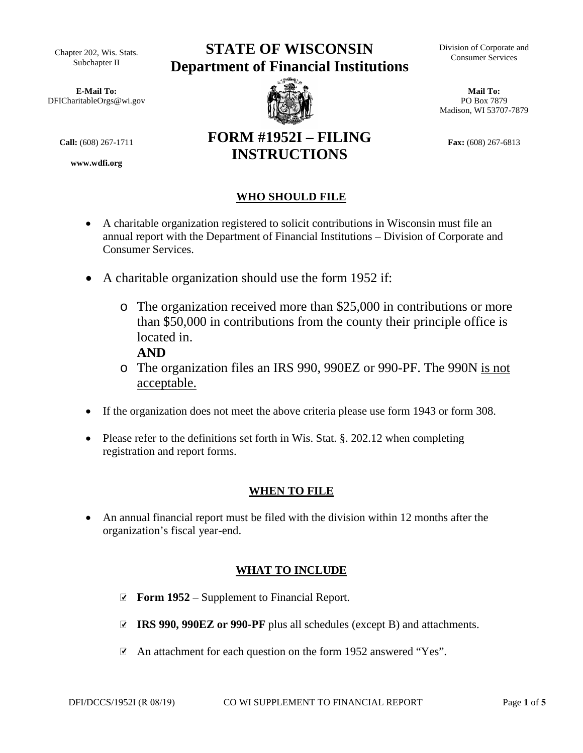Chapter 202, Wis. Stats. Subchapter II

**E-Mail To:** DFICharitableOrgs@wi.gov

**www.wdfi.org**

# **STATE OF WISCONSIN Department of Financial Institutions**



**FORM #1952I – FILING INSTRUCTIONS** 

Division of Corporate and Consumer Services

**Mail To:**  PO Box 7879 Madison, WI 53707-7879

**Call:**  $(608) 267-1711$  **FONM**  $H17321 - F111113$  Fax:  $(608) 267-6813$ 

# **WHO SHOULD FILE**

- A charitable organization registered to solicit contributions in Wisconsin must file an annual report with the Department of Financial Institutions – Division of Corporate and Consumer Services.
- A charitable organization should use the form 1952 if:
	- o The organization received more than \$25,000 in contributions or more than \$50,000 in contributions from the county their principle office is located in.
		- **AND**
	- o The organization files an IRS 990, 990EZ or 990-PF. The 990N is not acceptable.
- If the organization does not meet the above criteria please use form 1943 or form 308.
- Please refer to the definitions set forth in Wis. Stat. §. 202.12 when completing registration and report forms.

# **WHEN TO FILE**

• An annual financial report must be filed with the division within 12 months after the organization's fiscal year-end.

# **WHAT TO INCLUDE**

- **■** Form 1952 Supplement to Financial Report.
- **IRS 990, 990EZ or 990-PF** plus all schedules (except B) and attachments. ✔
- An attachment for each question on the form 1952 answered "Yes".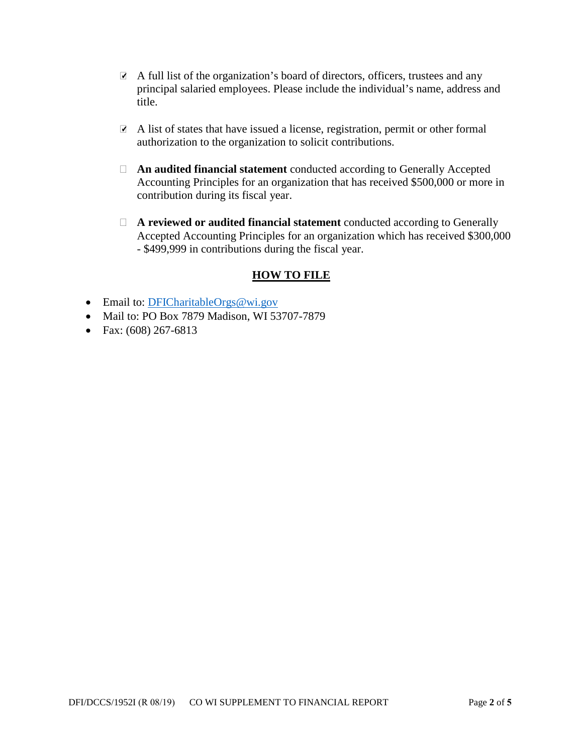- A full list of the organization's board of directors, officers, trustees and any principal salaried employees. Please include the individual's name, address and title.
- A list of states that have issued a license, registration, permit or other formal authorization to the organization to solicit contributions.
- **An audited financial statement** conducted according to Generally Accepted Accounting Principles for an organization that has received \$500,000 or more in contribution during its fiscal year.
- **A reviewed or audited financial statement** conducted according to Generally Accepted Accounting Principles for an organization which has received \$300,000 - \$499,999 in contributions during the fiscal year.

### **HOW TO FILE**

- Email to: DFICharitableOrgs@wi.gov
- Mail to: PO Box 7879 Madison, WI 53707-7879
- Fax:  $(608)$  267-6813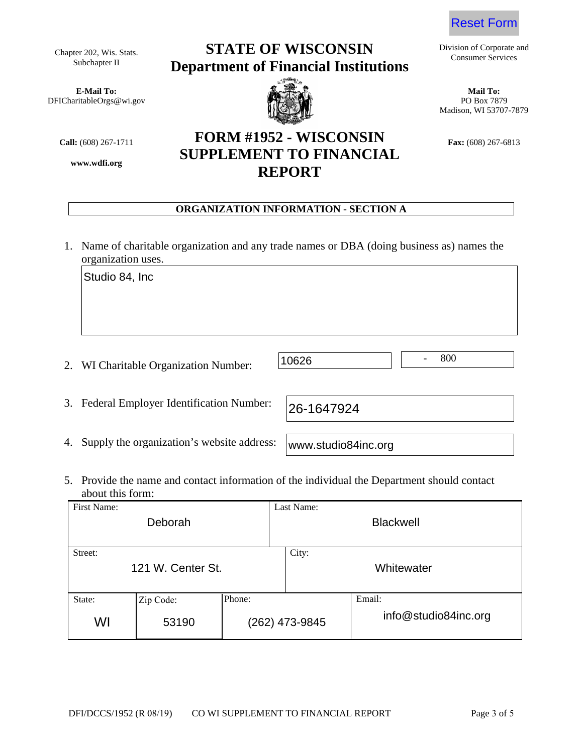**E-Mail To: Mail To:** DFICharitableOrgs@wi.gov **PO Box 7879** PO Box 7879

**www.wdfi.org**

# Chapter 202, Wis. Stats. **STATE OF WISCONSIN** Division of Corporate and Consumer Services **Department of Financial Institutions**

**Call:** (608) 267-1711 **FORM #1952 - WISCONSIN Fax:** (608) 267-6813 **SUPPLEMENT TO FINANCIAL REPORT**

#### **ORGANIZATION INFORMATION - SECTION A**

- 1. Name of charitable organization and any trade names or DBA (doing business as) names the organization uses.
	- 800 Studio 84, Inc 10626
- 2. WI Charitable Organization Number:

| 3. Federal Employer Identification Number: 26-1647924 |  |
|-------------------------------------------------------|--|

4. Supply the organization's website address:

www.studio84inc.org

5. Provide the name and contact information of the individual the Department should contact about this form:

| First Name:<br>Deborah       |                    |        | Last Name:<br><b>Blackwell</b> |                                |
|------------------------------|--------------------|--------|--------------------------------|--------------------------------|
| Street:<br>121 W. Center St. |                    |        | City:                          | Whitewater                     |
| State:<br>WI                 | Zip Code:<br>53190 | Phone: | (262) 473-9845                 | Email:<br>info@studio84inc.org |





Madison, WI 53707-7879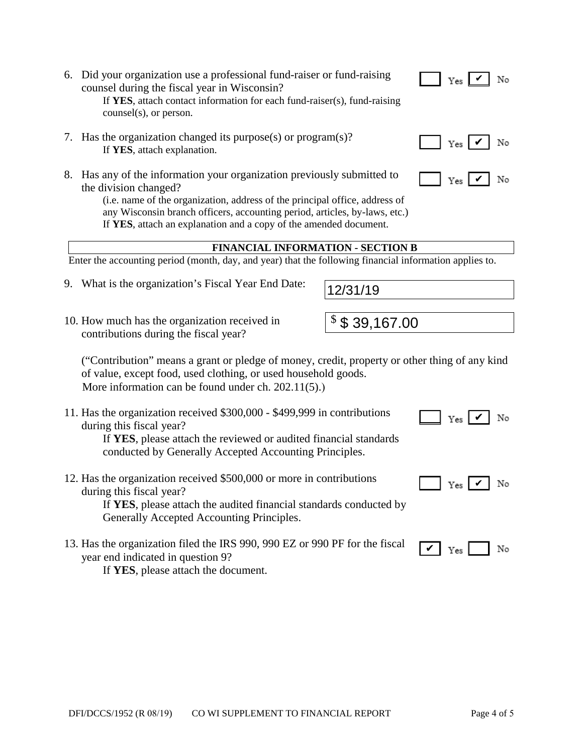#### 6. Did your organization use a professional fund-raiser or fund-raising counsel during the fiscal year in Wisconsin? If YES, attach contact information for each fund-raiser(s), fund-raising  $counsel(s)$ , or person.

- 7. Has the organization changed its purpose(s) or program(s)? If YES, attach explanation.
- 8. Has any of the information your organization previously submitted to the division changed?

(i.e. name of the organization, address of the principal office, address of any Wisconsin branch officers, accounting period, articles, by-laws, etc.) If YES, attach an explanation and a copy of the amended document.

# **FINANCIAL INFORMATION - SECTION B**

Enter the accounting period (month, day, and year) that the following financial information applies to.

- 9. What is the organization's Fiscal Year End Date:
- 10. How much has the organization received in contributions during the fiscal year?

("Contribution" means a grant or pledge of money, credit, property or other thing of any kind of value, except food, used clothing, or used household goods. More information can be found under ch.  $202.11(5)$ .

11. Has the organization received \$300,000 - \$499,999 in contributions during this fiscal year?

If YES, please attach the reviewed or audited financial standards conducted by Generally Accepted Accounting Principles.

12. Has the organization received \$500,000 or more in contributions during this fiscal year? If YES, please attach the audited financial standards conducted by

Generally Accepted Accounting Principles.

13. Has the organization filed the IRS 990, 990 EZ or 990 PF for the fiscal year end indicated in question 9? If YES, please attach the document.





 $\vert$  Yes  $\vert$   $\vert$  No

No



 $\vert$  Yes  $\vert$   $\checkmark$  | No



 $\mathbf{v}$  |  $_{\text{Yes}}$  |





12/31/19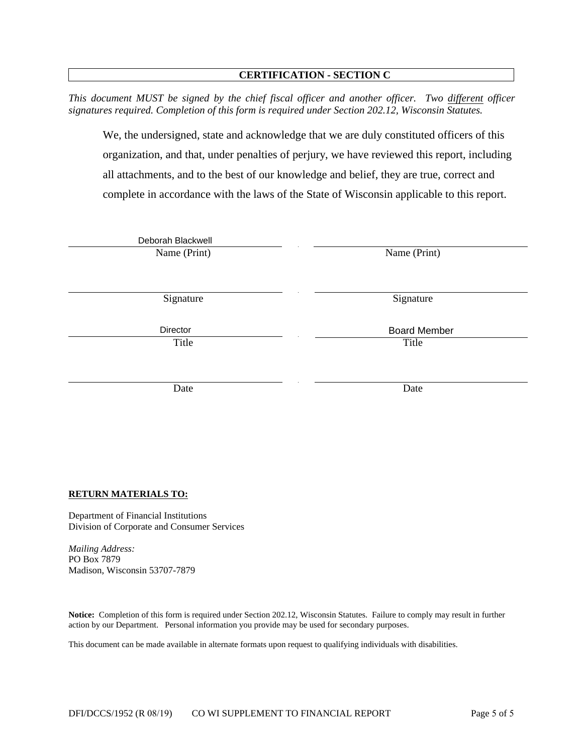#### **CERTIFICATION - SECTION C**

This document MUST be signed by the chief fiscal officer and another officer. Two different officer signatures required. Completion of this form is required under Section 202.12, Wisconsin Statutes.

We, the undersigned, state and acknowledge that we are duly constituted officers of this organization, and that, under penalties of perjury, we have reviewed this report, including all attachments, and to the best of our knowledge and belief, they are true, correct and complete in accordance with the laws of the State of Wisconsin applicable to this report.

| Deborah Blackwell |                     |
|-------------------|---------------------|
| Name (Print)      | Name (Print)        |
|                   |                     |
|                   |                     |
| Signature         | Signature           |
|                   |                     |
| Director          | <b>Board Member</b> |
| Title             | Title               |
|                   |                     |
|                   |                     |
| Date              | Date                |
|                   |                     |

#### **RETURN MATERIALS TO:**

Department of Financial Institutions Division of Corporate and Consumer Services

**Mailing Address:** PO Box 7879 Madison, Wisconsin 53707-7879

Notice: Completion of this form is required under Section 202.12, Wisconsin Statutes. Failure to comply may result in further action by our Department. Personal information you provide may be used for secondary purposes.

This document can be made available in alternate formats upon request to qualifying individuals with disabilities.